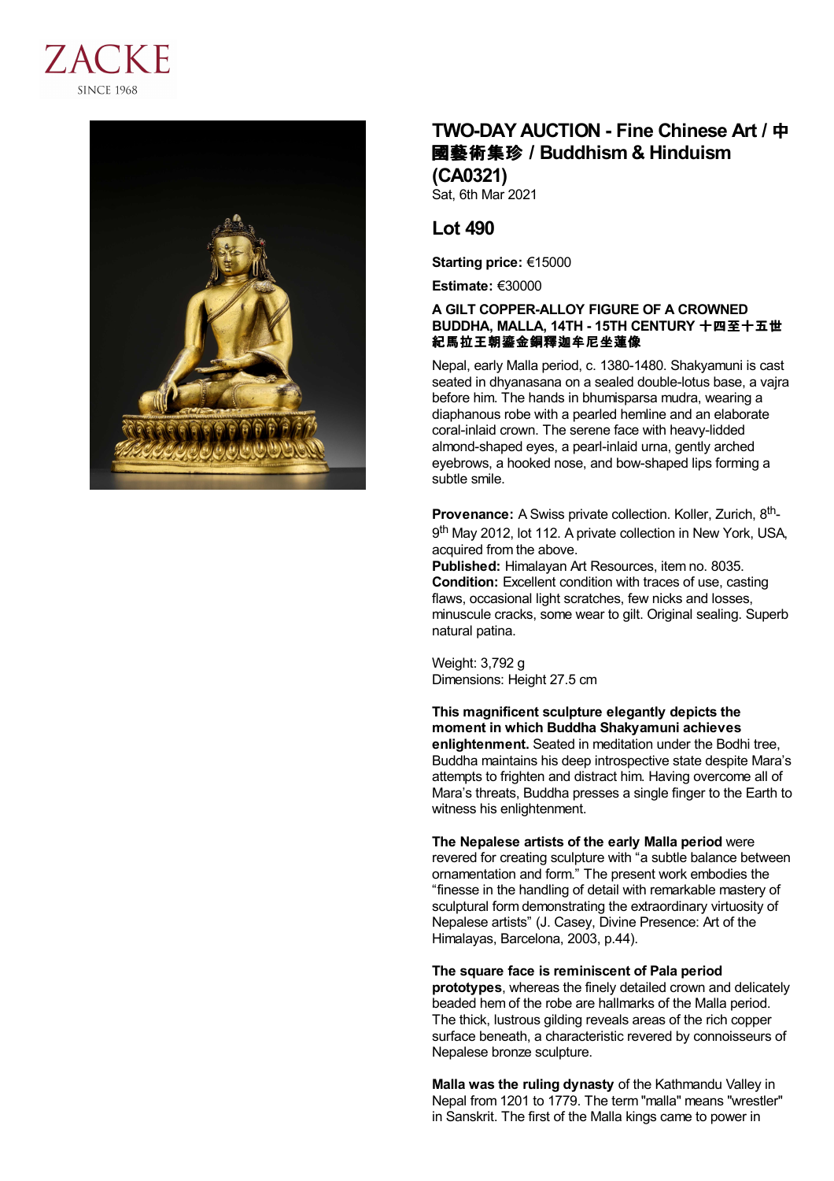



# **TWO-DAY AUCTION - Fine Chinese Art /** 中 國藝術集珍 **/Buddhism & Hinduism (CA0321)**

Sat, 6th Mar 2021

## **Lot 490**

**Starting price:** €15000

**Estimate:** €30000

### **A GILT COPPER-ALLOY FIGURE OF A CROWNED BUDDHA, MALLA, 14TH - 15TH CENTURY** 十四至十五世 紀馬拉王朝鎏金銅釋迦牟尼坐蓮像

Nepal, early Malla period, c. 1380-1480. Shakyamuni is cast seated in dhyanasana on a sealed double-lotus base, a vajra before him. The hands in bhumisparsa mudra, wearing a diaphanous robe with a pearled hemline and an elaborate coral-inlaid crown. The serene face with heavy-lidded almond-shaped eyes, a pearl-inlaid urna, gently arched eyebrows, a hooked nose, and bow-shaped lips forming a subtle smile.

Provenance: A Swiss private collection. Koller, Zurich, 8<sup>th</sup>-9<sup>th</sup> May 2012, lot 112. A private collection in New York, USA, acquired from the above.

**Published:** Himalayan Art Resources, item no. 8035. **Condition:** Excellent condition with traces of use, casting flaws, occasional light scratches, few nicks and losses, minuscule cracks, some wear to gilt. Original sealing. Superb natural patina.

Weight: 3,792 g Dimensions: Height 27.5 cm

**This magnificent sculpture elegantly depicts the moment in which Buddha Shakyamuni achieves enlightenment.** Seated in meditation under the Bodhi tree, Buddha maintains his deep introspective state despite Mara's attempts to frighten and distract him. Having overcome all of Mara's threats, Buddha presses a single finger to the Earth to witness his enlightenment.

**The Nepalese artists of the early Malla period** were revered for creating sculpture with "a subtle balance between ornamentation and form." The present work embodies the "finesse in the handling of detail with remarkable mastery of sculptural form demonstrating the extraordinary virtuosity of Nepalese artists" (J. Casey, Divine Presence: Art of the Himalayas, Barcelona, 2003, p.44).

#### **The square face is reminiscent of Pala period**

**prototypes**, whereas the finely detailed crown and delicately beaded hem of the robe are hallmarks of the Malla period. The thick, lustrous gilding reveals areas of the rich copper surface beneath, a characteristic revered by connoisseurs of Nepalese bronze sculpture.

**Malla was the ruling dynasty** of the Kathmandu Valley in Nepal from 1201 to 1779. The term "malla" means "wrestler" in Sanskrit. The first of the Malla kings came to power in